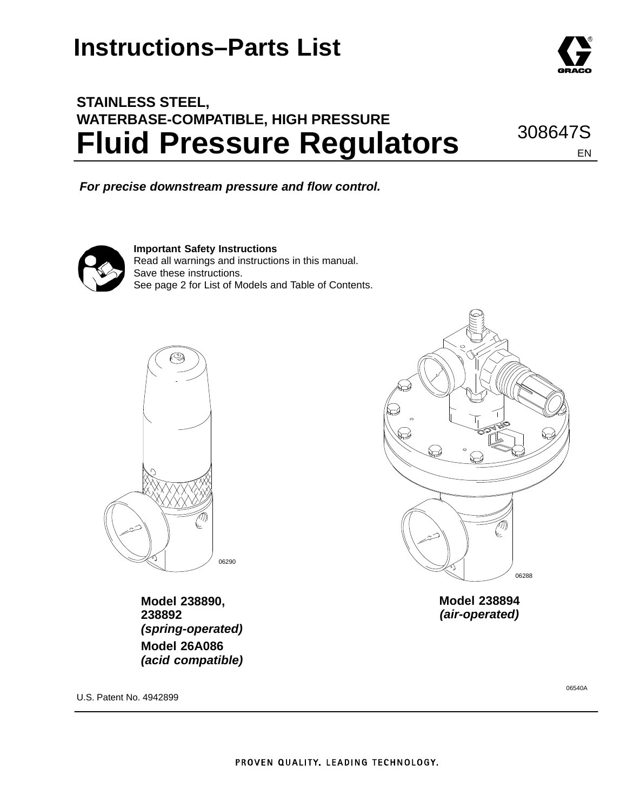## **STAINLESS STEEL, WATERBASE-COMPATIBLE, HIGH PRESSURE Fluid Pressure Regulators**

*For precise downstream pressure and flow control.*



**Important Safety Instructions** Read all warnings and instructions in this manual. Save these instructions. See page 2 for List of Models and Table of Contents.



**Model 238890, 238892** *(spring-operated)* **Model 26A086** *(acid compatible)* 06288

**Model 238894** *(air-operated)*

U.S. Patent No. 4942899

06540A

308647S

EN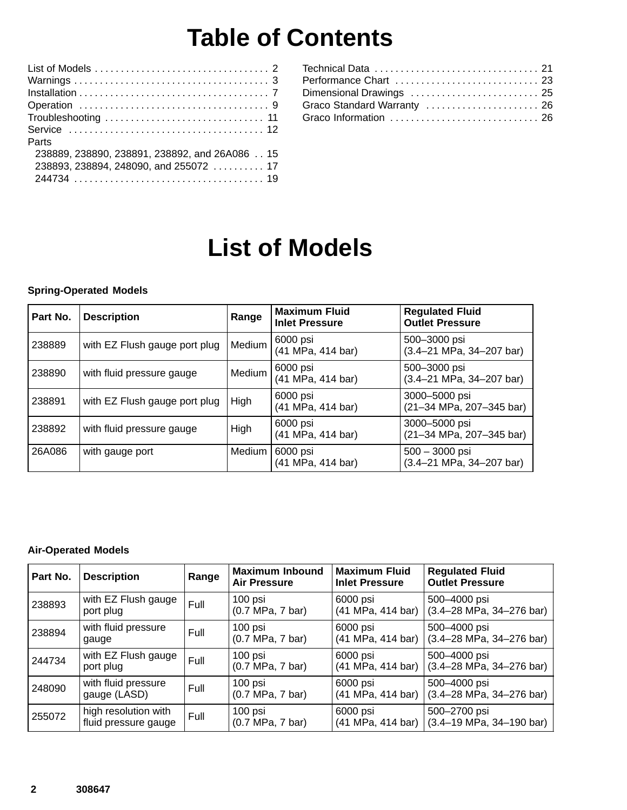## **Table of Contents**

| Parts                                         |
|-----------------------------------------------|
| 238889, 238890, 238891, 238892, and 26A086 15 |
| 238893, 238894, 248090, and 255072  17        |
|                                               |
|                                               |

| Dimensional Drawings  25    |  |
|-----------------------------|--|
| Graco Standard Warranty  26 |  |
| Graco Information  26       |  |
|                             |  |

# **List of Models**

#### **Spring-Operated Models**

| Part No. | <b>Description</b>            | Range  | <b>Maximum Fluid</b><br><b>Inlet Pressure</b> | <b>Regulated Fluid</b><br><b>Outlet Pressure</b>                   |
|----------|-------------------------------|--------|-----------------------------------------------|--------------------------------------------------------------------|
| 238889   | with EZ Flush gauge port plug | Medium | 6000 psi<br>(41 MPa, 414 bar)                 | 500-3000 psi<br>$(3.4 - 21 \text{ MPa}, 34 - 207 \text{ bar})$     |
| 238890   | with fluid pressure gauge     | Medium | 6000 psi<br>(41 MPa, 414 bar)                 | 500-3000 psi<br>$(3.4 - 21 \text{ MPa}, 34 - 207 \text{ bar})$     |
| 238891   | with EZ Flush gauge port plug | High   | 6000 psi<br>(41 MPa, 414 bar)                 | 3000-5000 psi<br>(21-34 MPa, 207-345 bar)                          |
| 238892   | with fluid pressure gauge     | High   | 6000 psi<br>(41 MPa, 414 bar)                 | 3000-5000 psi<br>(21-34 MPa, 207-345 bar)                          |
| 26A086   | with gauge port               | Medium | 6000 psi<br>(41 MPa, 414 bar)                 | $500 - 3000$ psi<br>$(3.4 - 21 \text{ MPa}, 34 - 207 \text{ bar})$ |

#### **Air-Operated Models**

| Part No. | <b>Description</b>                           | Range | <b>Maximum Inbound</b><br><b>Air Pressure</b> | <b>Maximum Fluid</b><br><b>Inlet Pressure</b> | <b>Regulated Fluid</b><br><b>Outlet Pressure</b>               |
|----------|----------------------------------------------|-------|-----------------------------------------------|-----------------------------------------------|----------------------------------------------------------------|
| 238893   | with EZ Flush gauge<br>port plug             | Full  | 100 psi<br>(0.7 MPa, 7 bar)                   | 6000 psi<br>(41 MPa, 414 bar)                 | 500-4000 psi<br>$(3.4 - 28 \text{ MPa}, 34 - 276 \text{ bar})$ |
| 238894   | with fluid pressure<br>gauge                 | Full  | 100 psi<br>(0.7 MPa, 7 bar)                   | 6000 psi<br>(41 MPa, 414 bar)                 | 500-4000 psi<br>$(3.4 - 28 \text{ MPa}, 34 - 276 \text{ bar})$ |
| 244734   | with EZ Flush gauge<br>port plug             | Full  | 100 psi<br>(0.7 MPa, 7 bar)                   | 6000 psi<br>(41 MPa, 414 bar)                 | 500-4000 psi<br>$(3.4 - 28 \text{ MPa}, 34 - 276 \text{ bar})$ |
| 248090   | with fluid pressure<br>gauge (LASD)          | Full  | $100$ psi<br>(0.7 MPa, 7 bar)                 | 6000 psi<br>(41 MPa, 414 bar)                 | 500-4000 psi<br>$(3.4 - 28 \text{ MPa}, 34 - 276 \text{ bar})$ |
| 255072   | high resolution with<br>fluid pressure gauge | Full  | $100$ psi<br>(0.7 MPa, 7 bar)                 | 6000 psi<br>(41 MPa, 414 bar)                 | 500-2700 psi<br>$(3.4-19 \text{ MPa}, 34-190 \text{ bar})$     |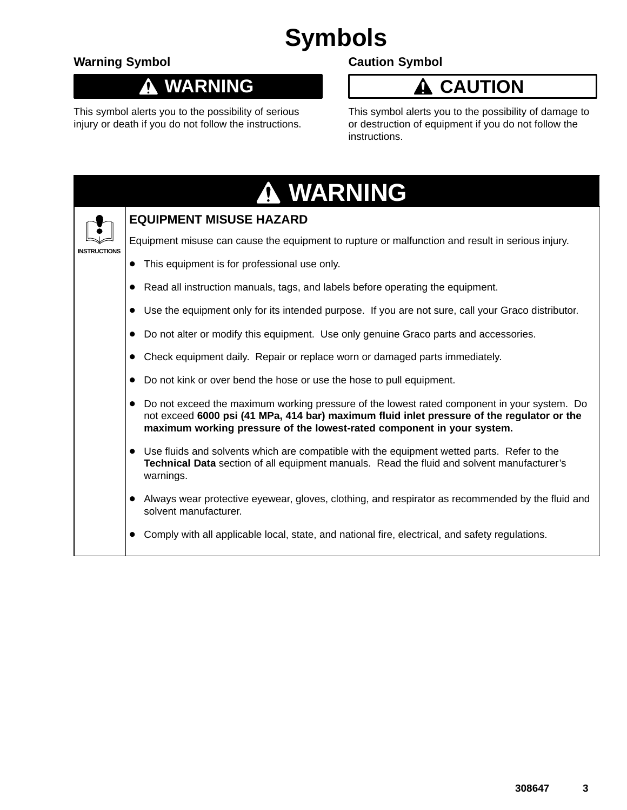# **Symbols**

### **Warning Symbol**

#### **WARNING**  $\boldsymbol{\Lambda}$

This symbol alerts you to the possibility of serious injury or death if you do not follow the instructions.

### **Caution Symbol**

## **A** CAUTION

This symbol alerts you to the possibility of damage to or destruction of equipment if you do not follow the instructions.

|                     |           | A WARNING                                                                                                                                                                                                                                                           |
|---------------------|-----------|---------------------------------------------------------------------------------------------------------------------------------------------------------------------------------------------------------------------------------------------------------------------|
|                     |           | <b>EQUIPMENT MISUSE HAZARD</b>                                                                                                                                                                                                                                      |
| <b>INSTRUCTIONS</b> |           | Equipment misuse can cause the equipment to rupture or malfunction and result in serious injury.                                                                                                                                                                    |
|                     |           | This equipment is for professional use only.                                                                                                                                                                                                                        |
|                     |           | Read all instruction manuals, tags, and labels before operating the equipment.                                                                                                                                                                                      |
|                     |           | Use the equipment only for its intended purpose. If you are not sure, call your Graco distributor.                                                                                                                                                                  |
|                     |           | Do not alter or modify this equipment. Use only genuine Graco parts and accessories.                                                                                                                                                                                |
|                     |           | Check equipment daily. Repair or replace worn or damaged parts immediately.                                                                                                                                                                                         |
|                     |           | Do not kink or over bend the hose or use the hose to pull equipment.                                                                                                                                                                                                |
|                     |           | Do not exceed the maximum working pressure of the lowest rated component in your system. Do<br>not exceed 6000 psi (41 MPa, 414 bar) maximum fluid inlet pressure of the regulator or the<br>maximum working pressure of the lowest-rated component in your system. |
|                     | $\bullet$ | Use fluids and solvents which are compatible with the equipment wetted parts. Refer to the<br>Technical Data section of all equipment manuals. Read the fluid and solvent manufacturer's<br>warnings.                                                               |
|                     |           | Always wear protective eyewear, gloves, clothing, and respirator as recommended by the fluid and<br>solvent manufacturer.                                                                                                                                           |
|                     |           | Comply with all applicable local, state, and national fire, electrical, and safety regulations.                                                                                                                                                                     |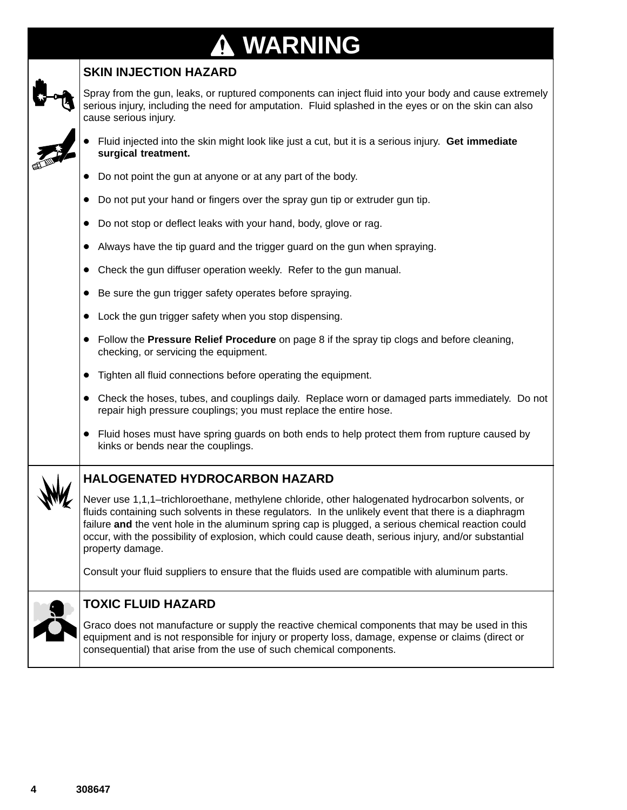# **WARNING**

### **SKIN INJECTION HAZARD**

Spray from the gun, leaks, or ruptured components can inject fluid into your body and cause extremely serious injury, including the need for amputation. Fluid splashed in the eyes or on the skin can also cause serious injury.

- $\bullet$  Fluid injected into the skin might look like just a cut, but it is a serious injury. **Get immediate surgical treatment.**
- Do not point the gun at anyone or at any part of the body.
- Do not put your hand or fingers over the spray gun tip or extruder gun tip.
- Do not stop or deflect leaks with your hand, body, glove or rag.
- Always have the tip guard and the trigger guard on the gun when spraying.
- Check the gun diffuser operation weekly. Refer to the gun manual.
- Be sure the gun trigger safety operates before spraying.
- Lock the gun trigger safety when you stop dispensing.
- Follow the **Pressure Relief Procedure** on page 8 if the spray tip clogs and before cleaning, checking, or servicing the equipment.
- Tighten all fluid connections before operating the equipment.
- Check the hoses, tubes, and couplings daily. Replace worn or damaged parts immediately. Do not repair high pressure couplings; you must replace the entire hose.
- Fluid hoses must have spring guards on both ends to help protect them from rupture caused by kinks or bends near the couplings.



### **HALOGENATED HYDROCARBON HAZARD**

Never use 1,1,1–trichloroethane, methylene chloride, other halogenated hydrocarbon solvents, or fluids containing such solvents in these regulators. In the unlikely event that there is a diaphragm failure **and** the vent hole in the aluminum spring cap is plugged, a serious chemical reaction could occur, with the possibility of explosion, which could cause death, serious injury, and/or substantial property damage.

Consult your fluid suppliers to ensure that the fluids used are compatible with aluminum parts.



#### **TOXIC FLUID HAZARD**

Graco does not manufacture or supply the reactive chemical components that may be used in this equipment and is not responsible for injury or property loss, damage, expense or claims (direct or consequential) that arise from the use of such chemical components.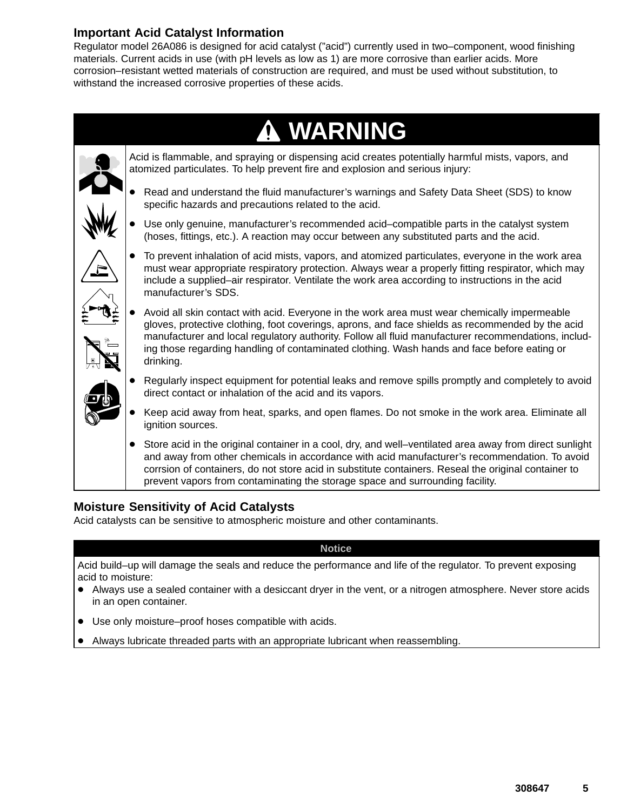### **Important Acid Catalyst Information**

Regulator model 26A086 is designed for acid catalyst ("acid") currently used in two–component, wood finishing materials. Current acids in use (with pH levels as low as 1) are more corrosive than earlier acids. More corrosion–resistant wetted materials of construction are required, and must be used without substitution, to withstand the increased corrosive properties of these acids.



Acid is flammable, and spraying or dispensing acid creates potentially harmful mists, vapors, and atomized particulates. To help prevent fire and explosion and serious injury:

- $\bullet$  Read and understand the fluid manufacturer's warnings and Safety Data Sheet (SDS) to know specific hazards and precautions related to the acid.
- $\bullet$  Use only genuine, manufacturer's recommended acid–compatible parts in the catalyst system (hoses, fittings, etc.). A reaction may occur between any substituted parts and the acid.
- $\bullet$  To prevent inhalation of acid mists, vapors, and atomized particulates, everyone in the work area must wear appropriate respiratory protection. Always wear a properly fitting respirator, which may include a supplied–air respirator. Ventilate the work area according to instructions in the acid manufacturer's SDS.
- $\bullet$  Avoid all skin contact with acid. Everyone in the work area must wear chemically impermeable gloves, protective clothing, foot coverings, aprons, and face shields as recommended by the acid manufacturer and local regulatory authority. Follow all fluid manufacturer recommendations, including those regarding handling of contaminated clothing. Wash hands and face before eating or drinking.
- $\bullet$  Regularly inspect equipment for potential leaks and remove spills promptly and completely to avoid direct contact or inhalation of the acid and its vapors.
- $\bullet$  Keep acid away from heat, sparks, and open flames. Do not smoke in the work area. Eliminate all ignition sources.
- $\bullet$  Store acid in the original container in a cool, dry, and well–ventilated area away from direct sunlight and away from other chemicals in accordance with acid manufacturer's recommendation. To avoid corrsion of containers, do not store acid in substitute containers. Reseal the original container to prevent vapors from contaminating the storage space and surrounding facility.

#### **Moisture Sensitivity of Acid Catalysts**

Acid catalysts can be sensitive to atmospheric moisture and other contaminants.

#### **Notice**

Acid build–up will damage the seals and reduce the performance and life of the regulator. To prevent exposing acid to moisture:

- Always use a sealed container with a desiccant dryer in the vent, or a nitrogen atmosphere. Never store acids in an open container.
- Use only moisture–proof hoses compatible with acids.
- Always lubricate threaded parts with an appropriate lubricant when reassembling.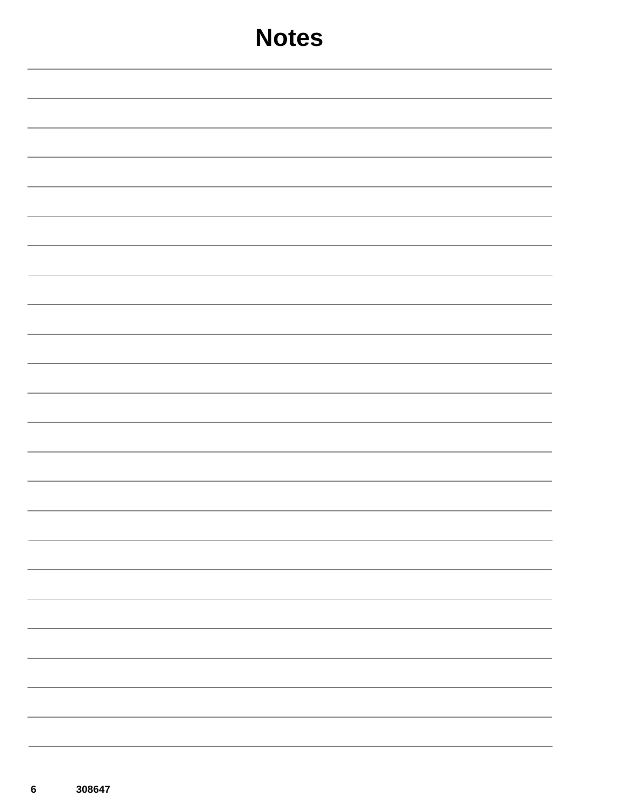| <b>Notes</b> |  |  |  |  |  |
|--------------|--|--|--|--|--|
|              |  |  |  |  |  |
|              |  |  |  |  |  |
|              |  |  |  |  |  |
|              |  |  |  |  |  |
|              |  |  |  |  |  |
|              |  |  |  |  |  |
|              |  |  |  |  |  |
|              |  |  |  |  |  |
|              |  |  |  |  |  |
|              |  |  |  |  |  |
|              |  |  |  |  |  |
|              |  |  |  |  |  |
|              |  |  |  |  |  |
|              |  |  |  |  |  |
|              |  |  |  |  |  |
| -            |  |  |  |  |  |
|              |  |  |  |  |  |
|              |  |  |  |  |  |
|              |  |  |  |  |  |
|              |  |  |  |  |  |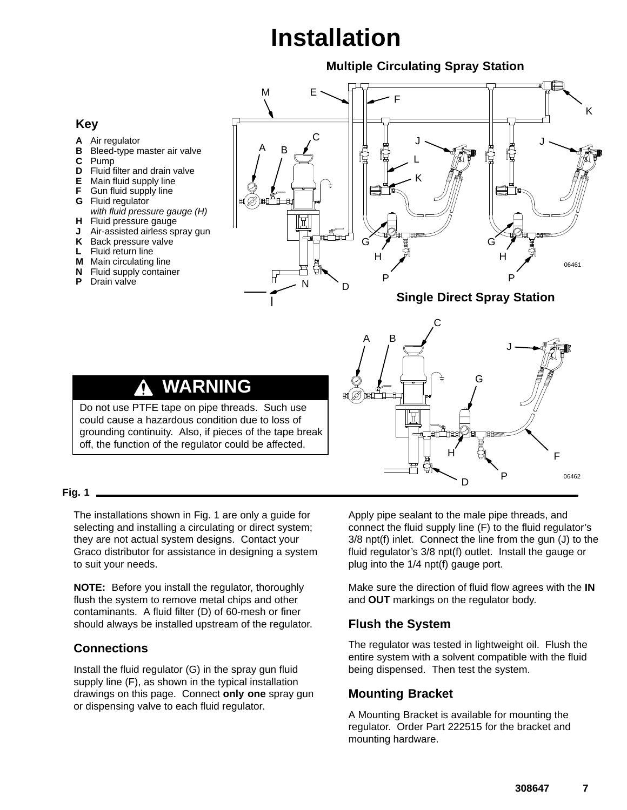# **Installation**

#### **Multiple Circulating Spray Station**



#### **Fig. 1**

The installations shown in Fig. 1 are only a guide for selecting and installing a circulating or direct system; they are not actual system designs. Contact your Graco distributor for assistance in designing a system to suit your needs.

**NOTE:** Before you install the regulator, thoroughly flush the system to remove metal chips and other contaminants. A fluid filter (D) of 60-mesh or finer should always be installed upstream of the regulator.

#### **Connections**

Install the fluid regulator (G) in the spray gun fluid supply line (F), as shown in the typical installation drawings on this page. Connect **only one** spray gun or dispensing valve to each fluid regulator.

Apply pipe sealant to the male pipe threads, and connect the fluid supply line (F) to the fluid regulator's 3/8 npt(f) inlet. Connect the line from the gun (J) to the fluid regulator's 3/8 npt(f) outlet. Install the gauge or plug into the 1/4 npt(f) gauge port.

Make sure the direction of fluid flow agrees with the **IN** and **OUT** markings on the regulator body.

#### **Flush the System**

The regulator was tested in lightweight oil. Flush the entire system with a solvent compatible with the fluid being dispensed. Then test the system.

#### **Mounting Bracket**

A Mounting Bracket is available for mounting the regulator. Order Part 222515 for the bracket and mounting hardware.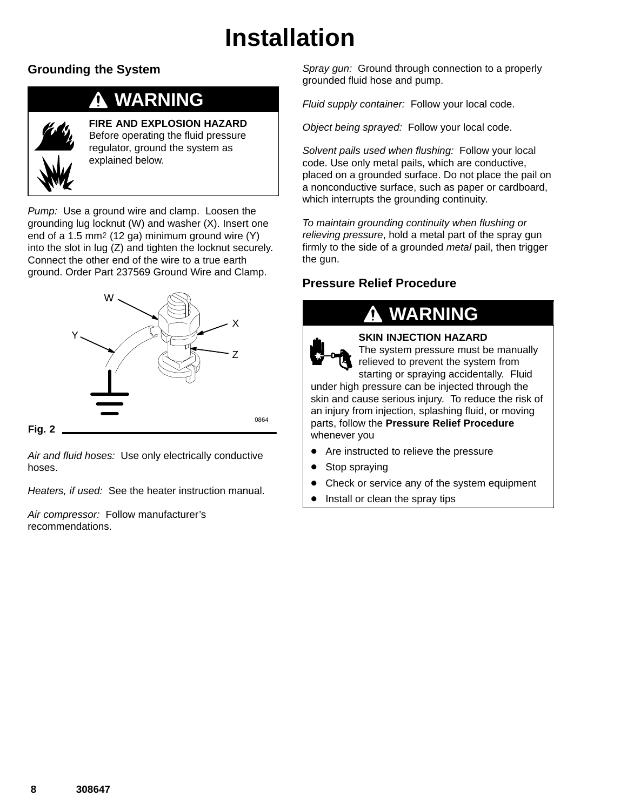# **Installation**

### **Grounding the System**

## **WARNING**



**FIRE AND EXPLOSION HAZARD** Before operating the fluid pressure regulator, ground the system as explained below.

*Pump:* Use a ground wire and clamp. Loosen the grounding lug locknut (W) and washer (X). Insert one end of a 1.5 mm<sup>2</sup> (12 ga) minimum ground wire  $(Y)$ into the slot in lug (Z) and tighten the locknut securely. Connect the other end of the wire to a true earth ground. Order Part 237569 Ground Wire and Clamp.



**Fig. 2**

*Air and fluid hoses:* Use only electrically conductive hoses.

*Heaters, if used:* See the heater instruction manual.

*Air compressor:* Follow manufacturer's recommendations.

*Spray gun:* Ground through connection to a properly grounded fluid hose and pump.

*Fluid supply container:* Follow your local code.

*Object being sprayed:* Follow your local code.

*Solvent pails used when flushing:* Follow your local code. Use only metal pails, which are conductive, placed on a grounded surface. Do not place the pail on a nonconductive surface, such as paper or cardboard, which interrupts the grounding continuity.

*To maintain grounding continuity when flushing or relieving pressure*, hold a metal part of the spray gun firmly to the side of a grounded *metal* pail, then trigger the gun.

### **Pressure Relief Procedure**

## **WARNING**



**SKIN INJECTION HAZARD** The system pressure must be manually

relieved to prevent the system from starting or spraying accidentally. Fluid under high pressure can be injected through the skin and cause serious injury. To reduce the risk of an injury from injection, splashing fluid, or moving parts, follow the **Pressure Relief Procedure** whenever you

- $\bullet$ Are instructed to relieve the pressure
- $\bullet$ Stop spraying
- $\bullet$ Check or service any of the system equipment
- $\bullet$ Install or clean the spray tips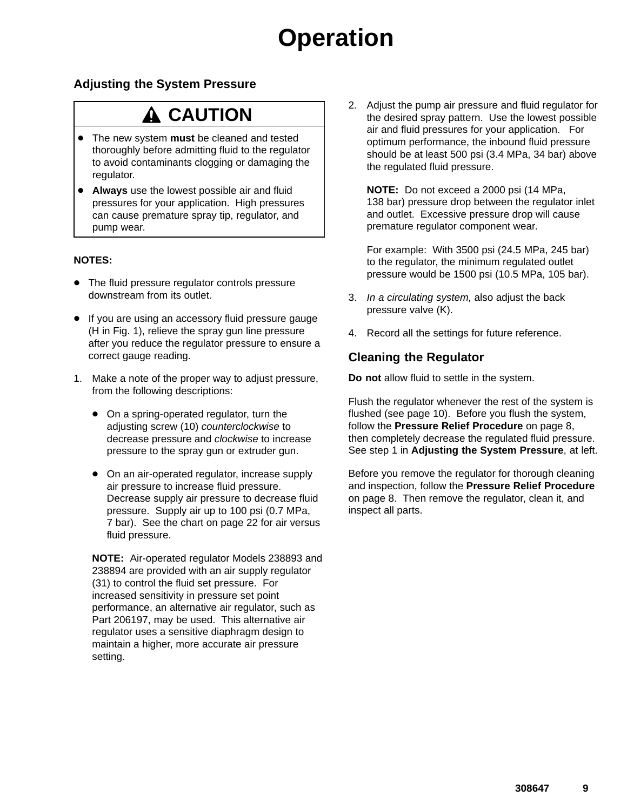# **Operation**

#### **Adjusting the System Pressure**

## **A CAUTION**

- The new system **must** be cleaned and tested thoroughly before admitting fluid to the regulator to avoid contaminants clogging or damaging the regulator.
- **Always** use the lowest possible air and fluid pressures for your application. High pressures can cause premature spray tip, regulator, and pump wear.

#### **NOTES:**

- The fluid pressure regulator controls pressure downstream from its outlet.
- If you are using an accessory fluid pressure gauge (H in Fig. 1), relieve the spray gun line pressure after you reduce the regulator pressure to ensure a correct gauge reading.
- 1. Make a note of the proper way to adjust pressure, from the following descriptions:
	- On a spring-operated regulator, turn the adjusting screw (10) *counterclockwise* to decrease pressure and *clockwise* to increase pressure to the spray gun or extruder gun.
	- On an air-operated regulator, increase supply air pressure to increase fluid pressure. Decrease supply air pressure to decrease fluid pressure. Supply air up to 100 psi (0.7 MPa, 7 bar). See the chart on page 22 for air versus fluid pressure.

**NOTE:** Air-operated regulator Models 238893 and 238894 are provided with an air supply regulator (31) to control the fluid set pressure. For increased sensitivity in pressure set point performance, an alternative air regulator, such as Part 206197, may be used. This alternative air regulator uses a sensitive diaphragm design to maintain a higher, more accurate air pressure setting.

2. Adjust the pump air pressure and fluid regulator for the desired spray pattern. Use the lowest possible air and fluid pressures for your application. For optimum performance, the inbound fluid pressure should be at least 500 psi (3.4 MPa, 34 bar) above the regulated fluid pressure.

**NOTE:** Do not exceed a 2000 psi (14 MPa, 138 bar) pressure drop between the regulator inlet and outlet. Excessive pressure drop will cause premature regulator component wear.

For example: With 3500 psi (24.5 MPa, 245 bar) to the regulator, the minimum regulated outlet pressure would be 1500 psi (10.5 MPa, 105 bar).

- 3. *In a circulating system,* also adjust the back pressure valve (K).
- 4. Record all the settings for future reference.

### **Cleaning the Regulator**

**Do not** allow fluid to settle in the system.

Flush the regulator whenever the rest of the system is flushed (see page 10). Before you flush the system, follow the **Pressure Relief Procedure** on page 8, then completely decrease the regulated fluid pressure. See step 1 in **Adjusting the System Pressure**, at left.

Before you remove the regulator for thorough cleaning and inspection, follow the **Pressure Relief Procedure** on page 8. Then remove the regulator, clean it, and inspect all parts.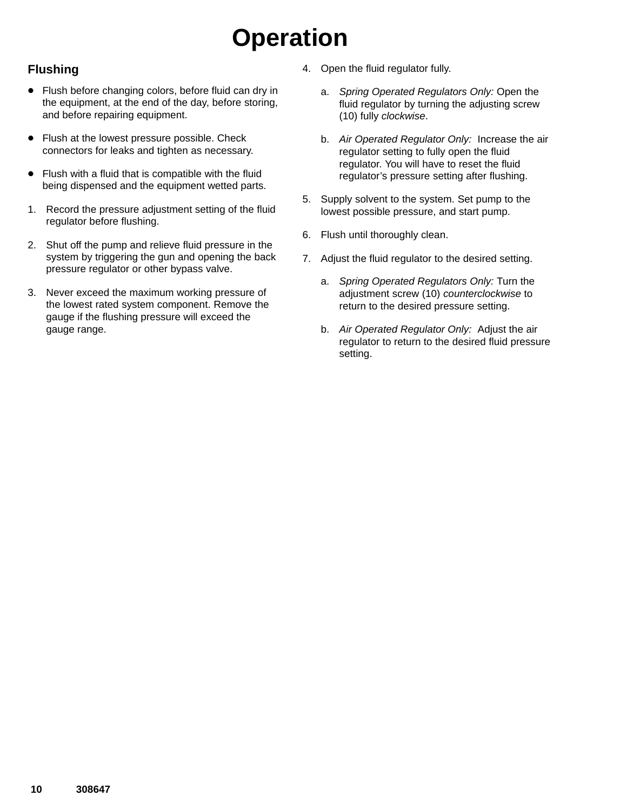# **Operation**

### **Flushing**

- Flush before changing colors, before fluid can dry in the equipment, at the end of the day, before storing, and before repairing equipment.
- $\bullet$  Flush at the lowest pressure possible. Check connectors for leaks and tighten as necessary.
- Flush with a fluid that is compatible with the fluid being dispensed and the equipment wetted parts.
- 1. Record the pressure adjustment setting of the fluid regulator before flushing.
- 2. Shut off the pump and relieve fluid pressure in the system by triggering the gun and opening the back pressure regulator or other bypass valve.
- 3. Never exceed the maximum working pressure of the lowest rated system component. Remove the gauge if the flushing pressure will exceed the gauge range.
- 4. Open the fluid regulator fully.
	- a. *Spring Operated Regulators Only:* Open the fluid regulator by turning the adjusting screw (10) fully *clockwise*.
	- b. *Air Operated Regulator Only:* Increase the air regulator setting to fully open the fluid regulator. You will have to reset the fluid regulator's pressure setting after flushing.
- 5. Supply solvent to the system. Set pump to the lowest possible pressure, and start pump.
- 6. Flush until thoroughly clean.
- 7. Adjust the fluid regulator to the desired setting.
	- a. *Spring Operated Regulators Only:* Turn the adjustment screw (10) *counterclockwise* to return to the desired pressure setting.
	- b. *Air Operated Regulator Only:* Adjust the air regulator to return to the desired fluid pressure setting.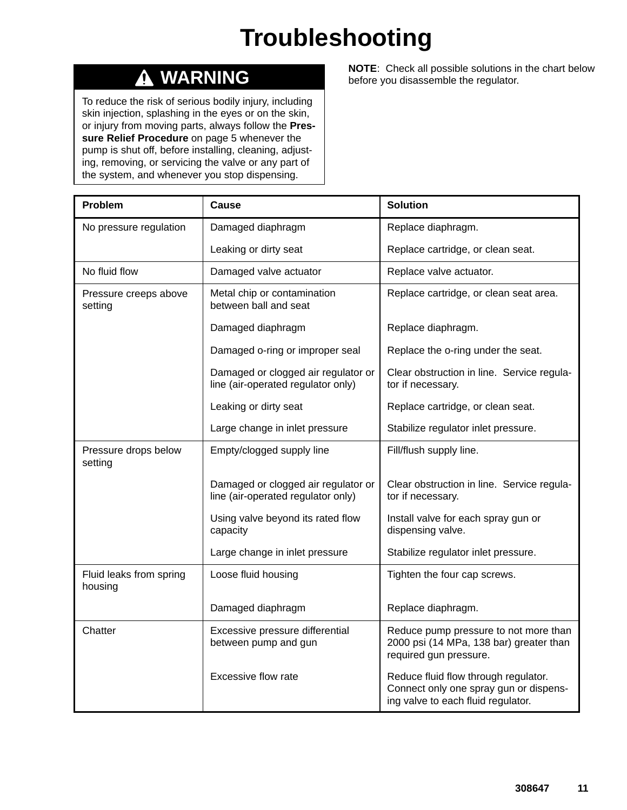# **Troubleshooting**

#### **WARNING**  $\boldsymbol{\Lambda}$

To reduce the risk of serious bodily injury, including skin injection, splashing in the eyes or on the skin, or injury from moving parts, always follow the **Pressure Relief Procedure** on page 5 whenever the pump is shut off, before installing, cleaning, adjusting, removing, or servicing the valve or any part of the system, and whenever you stop dispensing.

**NOTE**: Check all possible solutions in the chart below before you disassemble the regulator.

| Problem                            | Cause                                                                     | <b>Solution</b>                                                                                                      |
|------------------------------------|---------------------------------------------------------------------------|----------------------------------------------------------------------------------------------------------------------|
| No pressure regulation             | Damaged diaphragm                                                         | Replace diaphragm.                                                                                                   |
|                                    | Leaking or dirty seat                                                     | Replace cartridge, or clean seat.                                                                                    |
| No fluid flow                      | Damaged valve actuator                                                    | Replace valve actuator.                                                                                              |
| Pressure creeps above<br>setting   | Metal chip or contamination<br>between ball and seat                      | Replace cartridge, or clean seat area.                                                                               |
|                                    | Damaged diaphragm                                                         | Replace diaphragm.                                                                                                   |
|                                    | Damaged o-ring or improper seal                                           | Replace the o-ring under the seat.                                                                                   |
|                                    | Damaged or clogged air regulator or<br>line (air-operated regulator only) | Clear obstruction in line. Service regula-<br>tor if necessary.                                                      |
|                                    | Leaking or dirty seat                                                     | Replace cartridge, or clean seat.                                                                                    |
|                                    | Large change in inlet pressure                                            | Stabilize regulator inlet pressure.                                                                                  |
| Pressure drops below<br>setting    | Empty/clogged supply line                                                 | Fill/flush supply line.                                                                                              |
|                                    | Damaged or clogged air regulator or<br>line (air-operated regulator only) | Clear obstruction in line. Service regula-<br>tor if necessary.                                                      |
|                                    | Using valve beyond its rated flow<br>capacity                             | Install valve for each spray gun or<br>dispensing valve.                                                             |
|                                    | Large change in inlet pressure                                            | Stabilize regulator inlet pressure.                                                                                  |
| Fluid leaks from spring<br>housing | Loose fluid housing                                                       | Tighten the four cap screws.                                                                                         |
|                                    | Damaged diaphragm                                                         | Replace diaphragm.                                                                                                   |
| Chatter                            | Excessive pressure differential<br>between pump and gun                   | Reduce pump pressure to not more than<br>2000 psi (14 MPa, 138 bar) greater than<br>required gun pressure.           |
|                                    | Excessive flow rate                                                       | Reduce fluid flow through regulator.<br>Connect only one spray gun or dispens-<br>ing valve to each fluid regulator. |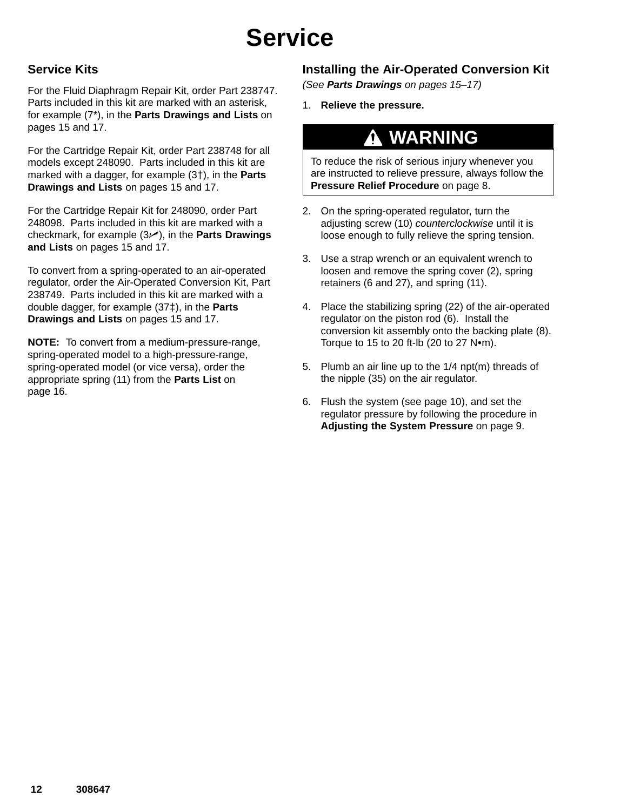# **Service**

### **Service Kits**

For the Fluid Diaphragm Repair Kit, order Part 238747. Parts included in this kit are marked with an asterisk, for example (7\*), in the **Parts Drawings and Lists** on pages 15 and 17.

For the Cartridge Repair Kit, order Part 238748 for all models except 248090. Parts included in this kit are marked with a dagger, for example (3<sup>†</sup>), in the **Parts Drawings and Lists** on pages 15 and 17.

For the Cartridge Repair Kit for 248090, order Part 248098. Parts included in this kit are marked with a checkmark, for example  $(3)$ , in the **Parts Drawings and Lists** on pages 15 and 17.

To convert from a spring-operated to an air-operated regulator, order the Air-Operated Conversion Kit, Part 238749. Parts included in this kit are marked with a double dagger, for example (37<sup>‡</sup>), in the **Parts Drawings and Lists** on pages 15 and 17.

**NOTE:** To convert from a medium-pressure-range, spring-operated model to a high-pressure-range, spring-operated model (or vice versa), order the appropriate spring (11) from the **Parts List** on page 16.

### **Installing the Air-Operated Conversion Kit**

*(See Parts Drawings on pages 15–17)*

1. **Relieve the pressure.**

## **WARNING**

To reduce the risk of serious injury whenever you are instructed to relieve pressure, always follow the **Pressure Relief Procedure** on page 8.

- 2. On the spring-operated regulator, turn the adjusting screw (10) *counterclockwise* until it is loose enough to fully relieve the spring tension.
- 3. Use a strap wrench or an equivalent wrench to loosen and remove the spring cover (2), spring retainers (6 and 27), and spring (11).
- 4. Place the stabilizing spring (22) of the air-operated regulator on the piston rod (6). Install the conversion kit assembly onto the backing plate (8). Torque to 15 to 20 ft-lb (20 to 27  $N$ •m).
- 5. Plumb an air line up to the 1/4 npt(m) threads of the nipple (35) on the air regulator.
- 6. Flush the system (see page 10), and set the regulator pressure by following the procedure in **Adjusting the System Pressure** on page 9.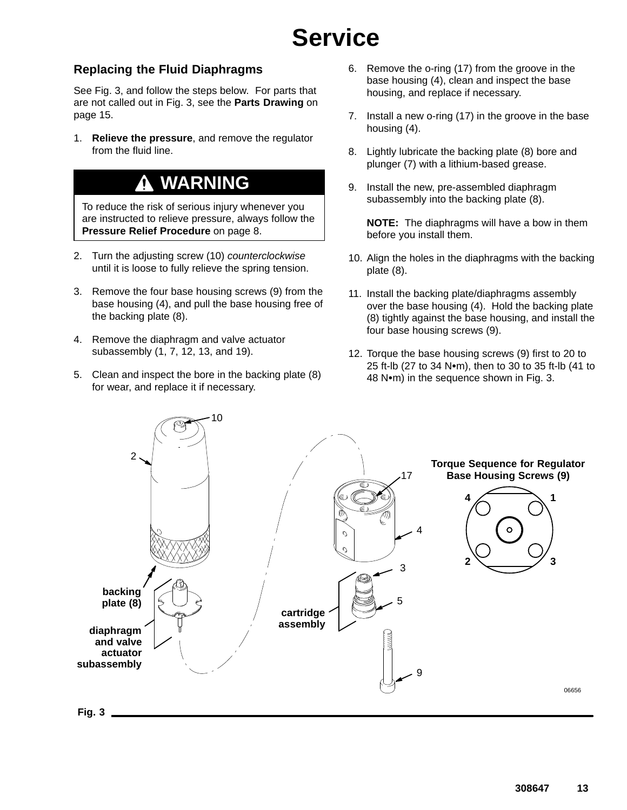# **Service**

### **Replacing the Fluid Diaphragms**

See Fig. 3, and follow the steps below. For parts that are not called out in Fig. 3, see the **Parts Drawing** on page 15.

1. **Relieve the pressure**, and remove the regulator from the fluid line.

## **WARNING**

To reduce the risk of serious injury whenever you are instructed to relieve pressure, always follow the **Pressure Relief Procedure** on page 8.

- 2. Turn the adjusting screw (10) *counterclockwise* until it is loose to fully relieve the spring tension.
- 3. Remove the four base housing screws (9) from the base housing (4), and pull the base housing free of the backing plate (8).
- 4. Remove the diaphragm and valve actuator subassembly (1, 7, 12, 13, and 19).
- 5. Clean and inspect the bore in the backing plate (8) for wear, and replace it if necessary.
- 6. Remove the o-ring (17) from the groove in the base housing (4), clean and inspect the base housing, and replace if necessary.
- 7. Install a new o-ring (17) in the groove in the base housing (4).
- 8. Lightly lubricate the backing plate (8) bore and plunger (7) with a lithium-based grease.
- 9. Install the new, pre-assembled diaphragm subassembly into the backing plate (8).

**NOTE:** The diaphragms will have a bow in them before you install them.

- 10. Align the holes in the diaphragms with the backing plate (8).
- 11. Install the backing plate/diaphragms assembly over the base housing (4). Hold the backing plate (8) tightly against the base housing, and install the four base housing screws (9).
- 12. Torque the base housing screws (9) first to 20 to 25 ft-lb (27 to 34 N $\bullet$ m), then to 30 to 35 ft-lb (41 to 48 N•m) in the sequence shown in Fig. 3.

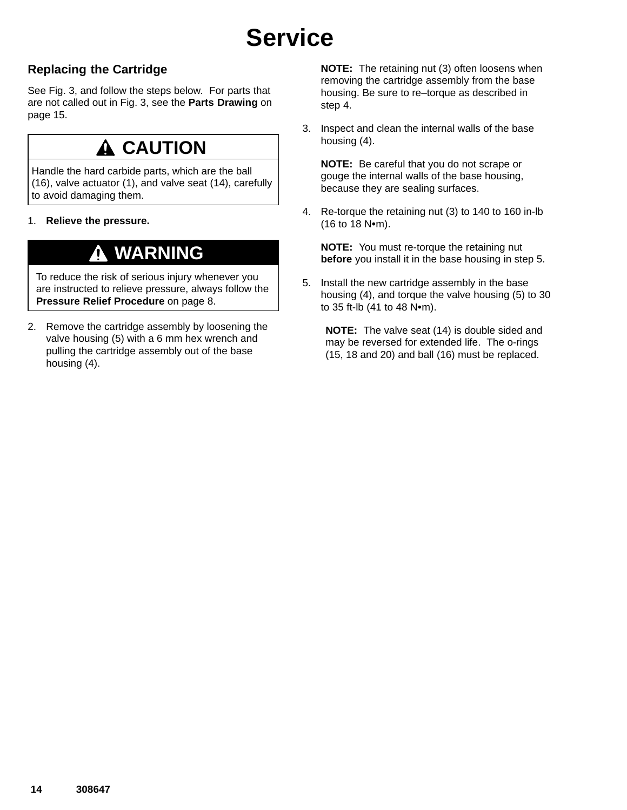# **Service**

### **Replacing the Cartridge**

See Fig. 3, and follow the steps below. For parts that are not called out in Fig. 3, see the **Parts Drawing** on page 15.

## **A CAUTION**

Handle the hard carbide parts, which are the ball (16), valve actuator (1), and valve seat (14), carefully to avoid damaging them.

1. **Relieve the pressure.**

## **WARNING**

To reduce the risk of serious injury whenever you are instructed to relieve pressure, always follow the **Pressure Relief Procedure** on page 8.

2. Remove the cartridge assembly by loosening the valve housing (5) with a 6 mm hex wrench and pulling the cartridge assembly out of the base housing (4).

**NOTE:** The retaining nut (3) often loosens when removing the cartridge assembly from the base housing. Be sure to re–torque as described in step 4.

3. Inspect and clean the internal walls of the base housing (4).

**NOTE:** Be careful that you do not scrape or gouge the internal walls of the base housing, because they are sealing surfaces.

4. Re-torque the retaining nut (3) to 140 to 160 in-lb  $(16 to 18 N·m)$ .

**NOTE:** You must re-torque the retaining nut **before** you install it in the base housing in step 5.

5. Install the new cartridge assembly in the base housing (4), and torque the valve housing (5) to 30 to 35 ft-lb  $(41$  to  $48$  N $\cdot$ m).

**NOTE:** The valve seat (14) is double sided and may be reversed for extended life. The o-rings (15, 18 and 20) and ball (16) must be replaced.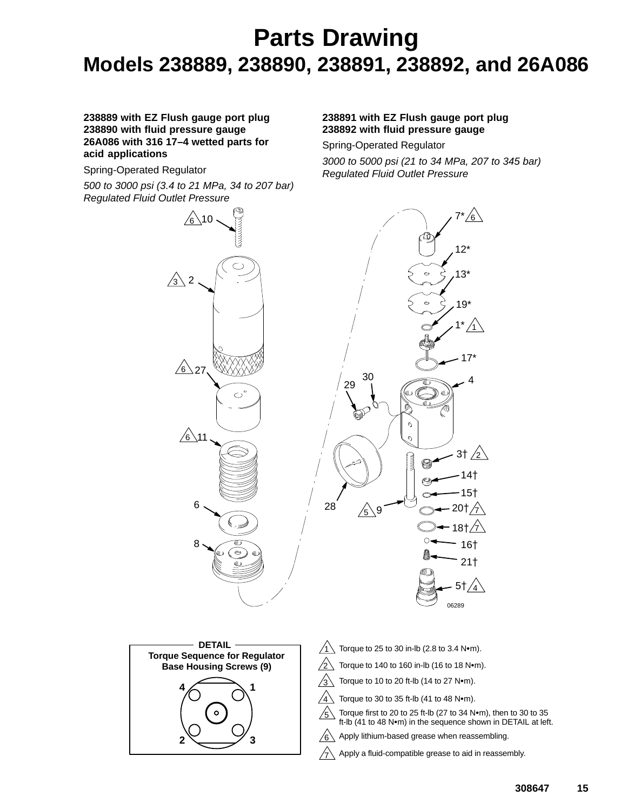## **Parts Drawing Models 238889, 238890, 238891, 238892, and 26A086**

#### **238889 with EZ Flush gauge port plug 238890 with fluid pressure gauge 26A086 with 316 17–4 wetted parts for acid applications**

Spring-Operated Regulator

*500 to 3000 psi (3.4 to 21 MPa, 34 to 207 bar) Regulated Fluid Outlet Pressure*

#### **238891 with EZ Flush gauge port plug 238892 with fluid pressure gauge**

Spring-Operated Regulator

*3000 to 5000 psi (21 to 34 MPa, 207 to 345 bar) Regulated Fluid Outlet Pressure*

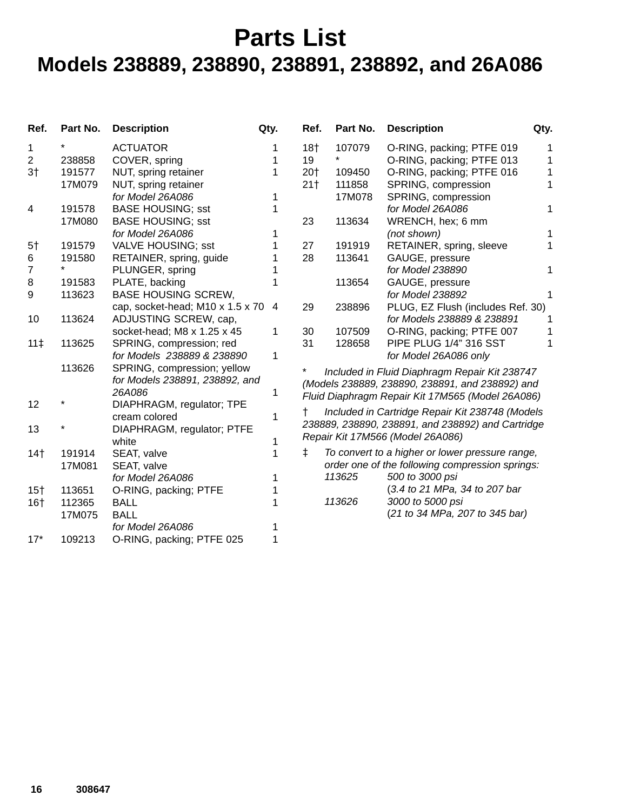## **Parts List Models 238889, 238890, 238891, 238892, and 26A086**

| Ref.            | Part No. | <b>Description</b>               | Qty. | Ref.            | Part No. | <b>Description</b>                                | Qty. |
|-----------------|----------|----------------------------------|------|-----------------|----------|---------------------------------------------------|------|
| 1               |          | <b>ACTUATOR</b>                  | 1    | 18 <sub>†</sub> | 107079   | O-RING, packing; PTFE 019                         |      |
| $\overline{2}$  | 238858   | COVER, spring                    | 1    | 19              | *        | O-RING, packing; PTFE 013                         | 1    |
| 3 <sup>†</sup>  | 191577   | NUT, spring retainer             | 1    | 20†             | 109450   | O-RING, packing; PTFE 016                         | 1    |
|                 | 17M079   | NUT, spring retainer             |      | 21 <sup>†</sup> | 111858   | SPRING, compression                               | 1    |
|                 |          | for Model 26A086                 | 1    |                 | 17M078   | SPRING, compression                               |      |
| 4               | 191578   | <b>BASE HOUSING; sst</b>         |      |                 |          | for Model 26A086                                  | 1    |
|                 | 17M080   | <b>BASE HOUSING; sst</b>         |      | 23              | 113634   | WRENCH, hex; 6 mm                                 |      |
|                 |          | for Model 26A086                 |      |                 |          | (not shown)                                       |      |
| 5 <sup>†</sup>  | 191579   | VALVE HOUSING; sst               |      | 27              | 191919   | RETAINER, spring, sleeve                          |      |
| 6               | 191580   | RETAINER, spring, guide          |      | 28              | 113641   | GAUGE, pressure                                   |      |
| 7               |          | PLUNGER, spring                  |      |                 |          | for Model 238890                                  | 1    |
| 8               | 191583   | PLATE, backing                   |      |                 | 113654   | GAUGE, pressure                                   |      |
| 9               | 113623   | <b>BASE HOUSING SCREW,</b>       |      |                 |          | for Model 238892                                  |      |
|                 |          | cap, socket-head; M10 x 1.5 x 70 | 4    | 29              | 238896   | PLUG, EZ Flush (includes Ref. 30)                 |      |
| 10              | 113624   | ADJUSTING SCREW, cap,            |      |                 |          | for Models 238889 & 238891                        |      |
|                 |          | socket-head; M8 x 1.25 x 45      | 1    | 30              | 107509   | O-RING, packing; PTFE 007                         |      |
| 11 <sup>†</sup> | 113625   | SPRING, compression; red         |      | 31              | 128658   | PIPE PLUG 1/4" 316 SST                            |      |
|                 |          | for Models 238889 & 238890       | 1    |                 |          | for Model 26A086 only                             |      |
|                 | 113626   | SPRING, compression; yellow      |      | *               |          | Included in Fluid Diaphragm Repair Kit 238747     |      |
|                 |          | for Models 238891, 238892, and   |      |                 |          | (Models 238889, 238890, 238891, and 238892) and   |      |
|                 |          | 26A086                           | 1    |                 |          | Fluid Diaphragm Repair Kit 17M565 (Model 26A086)  |      |
| 12              |          | DIAPHRAGM, regulator; TPE        |      |                 |          |                                                   |      |
|                 |          | cream colored                    | 1    | t               |          | Included in Cartridge Repair Kit 238748 (Models   |      |
| 13              |          | DIAPHRAGM, regulator; PTFE       |      |                 |          | 238889, 238890, 238891, and 238892) and Cartridge |      |
|                 |          | white                            |      |                 |          | Repair Kit 17M566 (Model 26A086)                  |      |
| 14 <sup>†</sup> | 191914   | SEAT, valve                      | 1    | $\ddagger$      |          | To convert to a higher or lower pressure range,   |      |
|                 | 17M081   | SEAT, valve                      |      |                 |          | order one of the following compression springs:   |      |
|                 |          | for Model 26A086                 |      |                 | 113625   | 500 to 3000 psi                                   |      |
| $15+$           | 113651   | O-RING, packing; PTFE            |      |                 |          | (3.4 to 21 MPa, 34 to 207 bar                     |      |
| 16 <sub>†</sub> | 112365   | <b>BALL</b>                      |      |                 | 113626   | 3000 to 5000 psi                                  |      |
|                 | 17M075   | <b>BALL</b>                      |      |                 |          | (21 to 34 MPa, 207 to 345 bar)                    |      |
|                 |          | for Model 26A086                 |      |                 |          |                                                   |      |
| $17*$           | 109213   | O-RING, packing; PTFE 025        |      |                 |          |                                                   |      |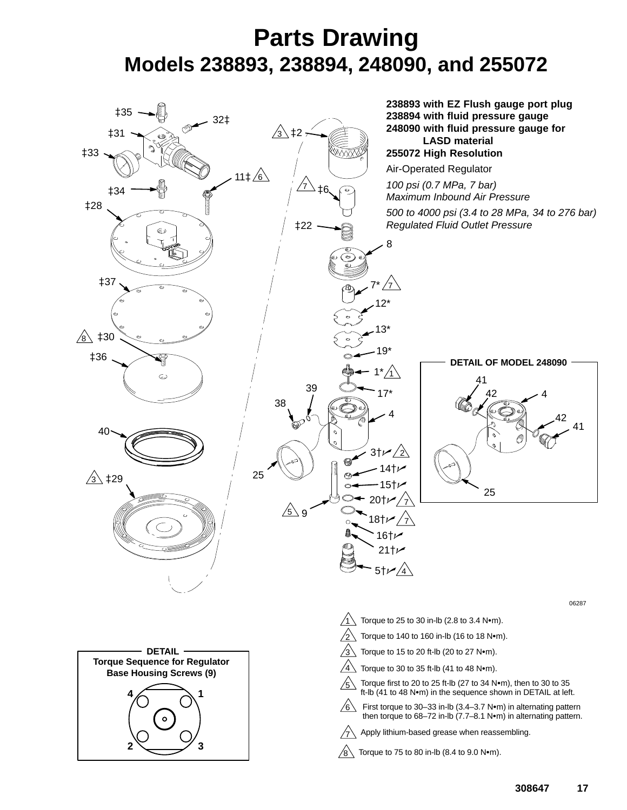## **Parts Drawing Models 238893, 238894, 248090, and 255072**

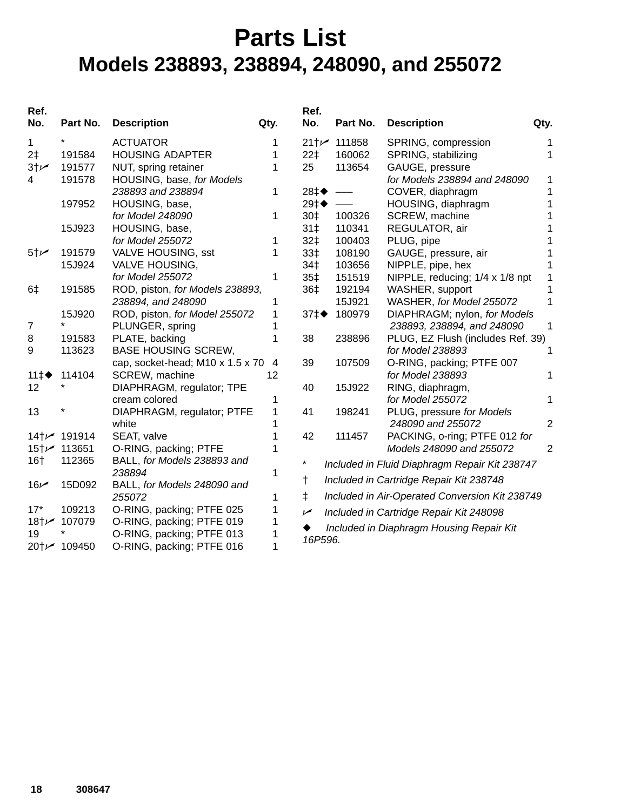## **Parts List Models 238893, 238894, 248090, and 255072**

| Ref.<br>No.     | Part No.                  | <b>Description</b>               | Qty. | Ref.<br>No.               | Part No. | <b>Description</b>                             | Qty.           |
|-----------------|---------------------------|----------------------------------|------|---------------------------|----------|------------------------------------------------|----------------|
| 1               |                           | <b>ACTUATOR</b>                  | 1    | 21† $\blacktriangleright$ | 111858   | SPRING, compression                            |                |
| 2‡              | 191584                    | <b>HOUSING ADAPTER</b>           | 1    | 22 <sup>†</sup>           | 160062   | SPRING, stabilizing                            |                |
| 3 <sup>†</sup>  | 191577                    | NUT, spring retainer             | 1    | 25                        | 113654   | GAUGE, pressure                                |                |
| 4               | 191578                    | HOUSING, base, for Models        |      |                           |          | for Models 238894 and 248090                   | 1              |
|                 |                           | 238893 and 238894                | 1    | 28‡◆                      |          | COVER, diaphragm                               | 1              |
|                 | 197952                    | HOUSING, base,                   |      | 29‡◆                      |          | HOUSING, diaphragm                             |                |
|                 |                           | for Model 248090                 | 1    | 30‡                       | 100326   | SCREW, machine                                 |                |
|                 | 15J923                    | HOUSING, base,                   |      | 31 <sup>†</sup>           | 110341   | REGULATOR, air                                 |                |
|                 |                           | for Model 255072                 | 1    | 32‡                       | 100403   | PLUG, pipe                                     |                |
| 5 <sup>†</sup>  | 191579                    | <b>VALVE HOUSING, sst</b>        | 1    | 33‡                       | 108190   | GAUGE, pressure, air                           |                |
|                 | 15J924                    | <b>VALVE HOUSING,</b>            |      | 34‡                       | 103656   | NIPPLE, pipe, hex                              |                |
|                 |                           | for Model 255072                 | 1    | 35 <sup>†</sup>           | 151519   | NIPPLE, reducing; 1/4 x 1/8 npt                |                |
| 6‡              | 191585                    | ROD, piston, for Models 238893,  |      | 36‡                       | 192194   | WASHER, support                                |                |
|                 |                           | 238894, and 248090               | 1    |                           | 15J921   | WASHER, for Model 255072                       | 1              |
|                 | 15J920                    | ROD, piston, for Model 255072    | 1    | $37 \ddagger \bullet$     | 180979   | DIAPHRAGM; nylon, for Models                   |                |
| 7               | *                         | PLUNGER, spring                  |      |                           |          | 238893, 238894, and 248090                     | 1              |
| 8               | 191583                    | PLATE, backing                   |      | 38                        | 238896   | PLUG, EZ Flush (includes Ref. 39)              |                |
| 9               | 113623                    | <b>BASE HOUSING SCREW,</b>       |      |                           |          | for Model 238893                               | 1              |
|                 |                           | cap, socket-head; M10 x 1.5 x 70 | 4    | 39                        | 107509   | O-RING, packing; PTFE 007                      |                |
| 11 $\ddagger$   | 114104                    | SCREW, machine                   | 12   |                           |          | for Model 238893                               | 1              |
| 12              |                           | DIAPHRAGM, regulator; TPE        |      | 40                        | 15J922   | RING, diaphragm,                               |                |
|                 |                           | cream colored                    | 1    |                           |          | for Model 255072                               | 1              |
| 13              |                           | DIAPHRAGM, regulator; PTFE       | 1    | 41                        | 198241   | PLUG, pressure for Models                      |                |
|                 |                           | white                            |      |                           |          | 248090 and 255072                              | $\overline{2}$ |
|                 | 14+ $\prime\prime$ 191914 | SEAT, valve                      |      | 42                        | 111457   | PACKING, o-ring; PTFE 012 for                  |                |
|                 | 15†∠ 113651               | O-RING, packing; PTFE            |      |                           |          | Models 248090 and 255072                       | $\overline{2}$ |
| 16 <sub>†</sub> | 112365                    | BALL, for Models 238893 and      |      | *                         |          | Included in Fluid Diaphragm Repair Kit 238747  |                |
|                 |                           | 238894                           | 1    | $^{\dagger}$              |          | Included in Cartridge Repair Kit 238748        |                |
| 16 <sub>k</sub> | 15D092                    | BALL, for Models 248090 and      |      |                           |          |                                                |                |
|                 |                           | 255072                           | 1    | $\ddagger$                |          | Included in Air-Operated Conversion Kit 238749 |                |
| $17*$           | 109213                    | O-RING, packing; PTFE 025        |      | سما                       |          | Included in Cartridge Repair Kit 248098        |                |
|                 | 18†∠ 107079               | O-RING, packing; PTFE 019        |      |                           |          | Included in Diaphragm Housing Repair Kit       |                |
| 19              |                           | O-RING, packing; PTFE 013        |      | 16P596.                   |          |                                                |                |
|                 | 20†∠ 109450               | O-RING, packing; PTFE 016        |      |                           |          |                                                |                |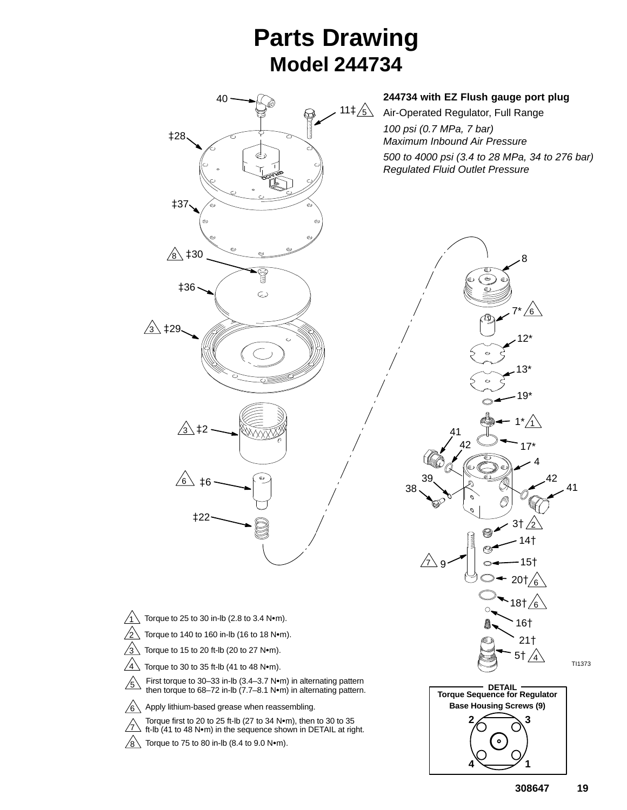## **Parts Drawing Model 244734**

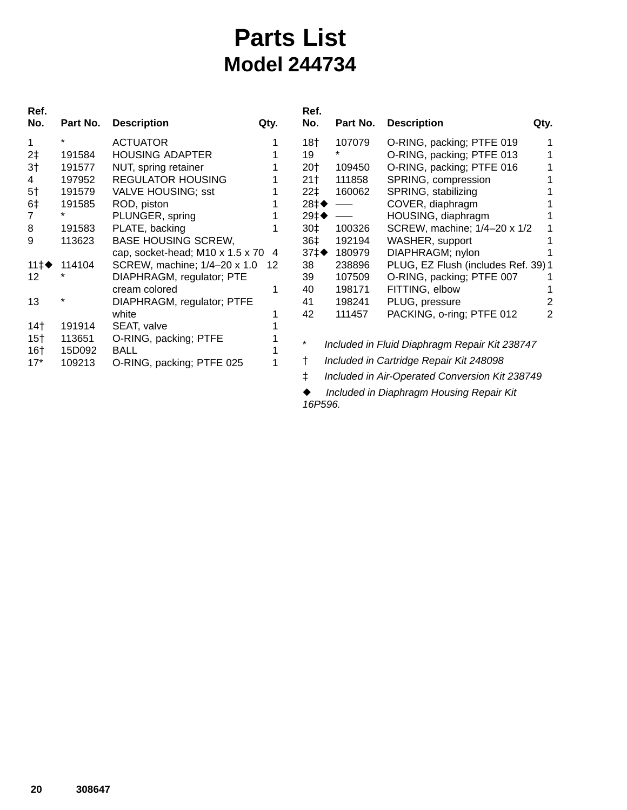## **Parts List Model 244734**

| Ref.<br>No.     | Part No.    | <b>Description</b>               | Qty.                     |
|-----------------|-------------|----------------------------------|--------------------------|
| 1               | $\star$     | <b>ACTUATOR</b>                  |                          |
| 2‡              | 191584      | <b>HOUSING ADAPTER</b>           | 1                        |
| 3†              | 191577      | NUT, spring retainer             | 1                        |
| 4               | 197952      | <b>REGULATOR HOUSING</b>         | 1                        |
| 5 <sup>†</sup>  | 191579      | <b>VALVE HOUSING; sst</b>        | 1                        |
| 6‡              | 191585      | ROD, piston                      | 1                        |
| 7               | ÷           | PLUNGER, spring                  | 1                        |
| 8               | 191583      | PLATE, backing                   | 1                        |
| 9               | 113623      | <b>BASE HOUSING SCREW,</b>       |                          |
|                 |             | cap, socket-head; M10 x 1.5 x 70 | $\overline{\mathcal{A}}$ |
|                 | 11‡♦ 114104 | SCREW, machine; 1/4-20 x 1.0     | 12                       |
| 12              |             | DIAPHRAGM, regulator; PTE        |                          |
|                 |             | cream colored                    | 1                        |
| 13              | $\star$     | DIAPHRAGM, regulator; PTFE       |                          |
|                 |             | white                            | 1                        |
| 14 <sup>†</sup> | 191914      | SEAT, valve                      | 1                        |
| 15†             | 113651      | O-RING, packing; PTFE            | 1                        |
| 16†             | 15D092      | BALL                             | 1                        |
| $17*$           | 109213      | O-RING, packing; PTFE 025        | 1                        |
|                 |             |                                  |                          |

| Ref.<br>No.           | Part No. | <b>Description</b>                  | Qty. |
|-----------------------|----------|-------------------------------------|------|
| 18 <sub>†</sub>       | 107079   | O-RING, packing; PTFE 019           |      |
| 19                    | $\star$  | O-RING, packing; PTFE 013           |      |
| 20†                   | 109450   | O-RING, packing; PTFE 016           |      |
| 21†                   | 111858   | SPRING, compression                 |      |
| 22 <sup>†</sup>       | 160062   | SPRING, stabilizing                 |      |
| 28‡◆                  |          | COVER, diaphragm                    |      |
| 29‡◆                  |          | HOUSING, diaphragm                  |      |
| 30‡                   | 100326   | SCREW, machine; 1/4-20 x 1/2        |      |
| 36‡                   | 192194   | WASHER, support                     |      |
| $37 \ddagger \bullet$ | 180979   | DIAPHRAGM; nylon                    |      |
| 38                    | 238896   | PLUG, EZ Flush (includes Ref. 39) 1 |      |
| 39                    | 107509   | O-RING, packing; PTFE 007           |      |
| 40                    | 198171   | FITTING, elbow                      |      |
| 41                    | 198241   | PLUG, pressure                      |      |
| 42                    | 111457   | PACKING, o-ring; PTFE 012           | 2    |
|                       |          |                                     |      |
|                       |          |                                     |      |

- \* *Included in Fluid Diaphragm Repair Kit 238747*
- *Included in Cartridge Repair Kit 248098*
- *Included in Air-Operated Conversion Kit 238749*

 *Included in Diaphragm Housing Repair Kit 16P596.*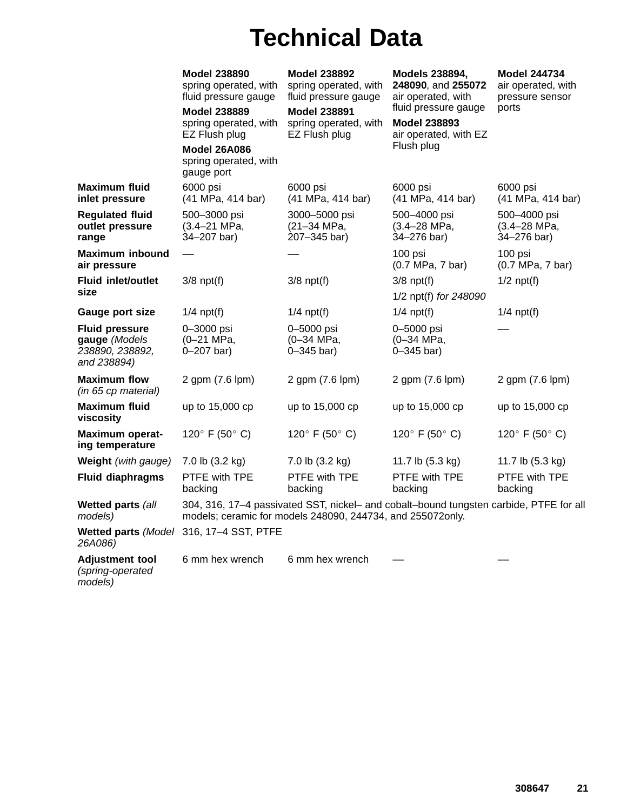# **Technical Data**

|                                                                          | <b>Model 238890</b><br>spring operated, with<br>fluid pressure gauge<br><b>Model 238889</b><br>spring operated, with<br>EZ Flush plug<br><b>Model 26A086</b><br>spring operated, with<br>gauge port | <b>Model 238892</b><br>spring operated, with<br>fluid pressure gauge<br><b>Model 238891</b><br>spring operated, with<br>EZ Flush plug                | Models 238894,<br>248090, and 255072<br>air operated, with<br>fluid pressure gauge<br><b>Model 238893</b><br>air operated, with EZ<br>Flush plug | <b>Model 244734</b><br>air operated, with<br>pressure sensor<br>ports |
|--------------------------------------------------------------------------|-----------------------------------------------------------------------------------------------------------------------------------------------------------------------------------------------------|------------------------------------------------------------------------------------------------------------------------------------------------------|--------------------------------------------------------------------------------------------------------------------------------------------------|-----------------------------------------------------------------------|
| <b>Maximum fluid</b><br>inlet pressure                                   | 6000 psi<br>(41 MPa, 414 bar)                                                                                                                                                                       | 6000 psi<br>(41 MPa, 414 bar)                                                                                                                        | 6000 psi<br>(41 MPa, 414 bar)                                                                                                                    | 6000 psi<br>(41 MPa, 414 bar)                                         |
| <b>Regulated fluid</b><br>outlet pressure<br>range                       | 500-3000 psi<br>$(3.4 - 21$ MPa,<br>34-207 bar)                                                                                                                                                     | 3000-5000 psi<br>(21-34 MPa,<br>207-345 bar)                                                                                                         | 500-4000 psi<br>(3.4-28 MPa,<br>34-276 bar)                                                                                                      | 500-4000 psi<br>(3.4-28 MPa,<br>34-276 bar)                           |
| <b>Maximum inbound</b><br>air pressure                                   |                                                                                                                                                                                                     |                                                                                                                                                      | 100 psi<br>(0.7 MPa, 7 bar)                                                                                                                      | 100 psi<br>$(0.7 \text{ MPa}, 7 \text{ bar})$                         |
| Fluid inlet/outlet<br>size                                               | $3/8$ npt $(f)$                                                                                                                                                                                     | $3/8$ npt $(f)$                                                                                                                                      | $3/8$ npt $(f)$<br>1/2 npt(f) for 248090                                                                                                         | $1/2$ npt $(f)$                                                       |
| Gauge port size                                                          | $1/4$ npt(f)                                                                                                                                                                                        | $1/4$ npt(f)                                                                                                                                         | $1/4$ npt(f)                                                                                                                                     | $1/4$ npt(f)                                                          |
| <b>Fluid pressure</b><br>gauge (Models<br>238890, 238892,<br>and 238894) | 0-3000 psi<br>(0-21 MPa,<br>$0 - 207$ bar)                                                                                                                                                          | 0-5000 psi<br>(0-34 MPa,<br>$0 - 345$ bar)                                                                                                           | 0-5000 psi<br>(0-34 MPa,<br>$0 - 345$ bar)                                                                                                       |                                                                       |
| <b>Maximum flow</b><br>(in 65 cp material)                               | 2 gpm (7.6 lpm)                                                                                                                                                                                     | 2 gpm (7.6 lpm)                                                                                                                                      | 2 gpm (7.6 lpm)                                                                                                                                  | 2 gpm (7.6 lpm)                                                       |
| <b>Maximum fluid</b><br>viscosity                                        | up to 15,000 cp                                                                                                                                                                                     | up to 15,000 cp                                                                                                                                      | up to 15,000 cp                                                                                                                                  | up to 15,000 cp                                                       |
| Maximum operat-<br>ing temperature                                       | 120° F (50° C)                                                                                                                                                                                      | 120 $\degree$ F (50 $\degree$ C)                                                                                                                     | 120° F (50° C)                                                                                                                                   | 120° F (50° C)                                                        |
| Weight (with gauge)                                                      | 7.0 lb (3.2 kg)                                                                                                                                                                                     | 7.0 lb (3.2 kg)                                                                                                                                      | 11.7 lb (5.3 kg)                                                                                                                                 | 11.7 lb (5.3 kg)                                                      |
| <b>Fluid diaphragms</b>                                                  | PTFE with TPE<br>backing                                                                                                                                                                            | PTFE with TPE<br>backing                                                                                                                             | PTFE with TPE<br>backing                                                                                                                         | PTFE with TPE<br>backing                                              |
| Wetted parts (all<br>models)                                             |                                                                                                                                                                                                     | 304, 316, 17-4 passivated SST, nickel- and cobalt-bound tungsten carbide, PTFE for all<br>models; ceramic for models 248090, 244734, and 255072only. |                                                                                                                                                  |                                                                       |
| Wetted parts (Model<br>26A086)                                           | 316, 17-4 SST, PTFE                                                                                                                                                                                 |                                                                                                                                                      |                                                                                                                                                  |                                                                       |
| <b>Adjustment tool</b><br>(spring-operated                               | 6 mm hex wrench                                                                                                                                                                                     | 6 mm hex wrench                                                                                                                                      |                                                                                                                                                  |                                                                       |

*models)*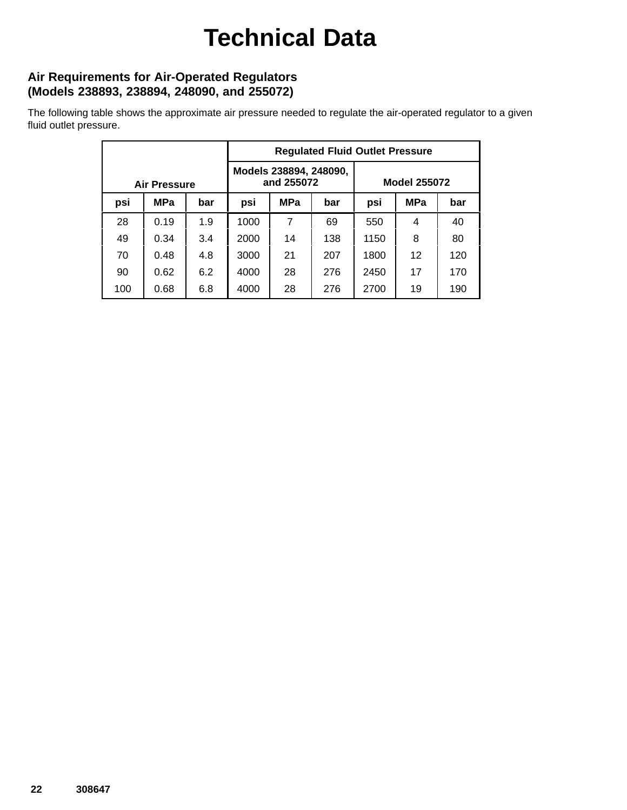# **Technical Data**

### **Air Requirements for Air-Operated Regulators (Models 238893, 238894, 248090, and 255072)**

The following table shows the approximate air pressure needed to regulate the air-operated regulator to a given fluid outlet pressure.

|                     |            |     | <b>Regulated Fluid Outlet Pressure</b> |            |     |                     |            |     |
|---------------------|------------|-----|----------------------------------------|------------|-----|---------------------|------------|-----|
| <b>Air Pressure</b> |            |     | Models 238894, 248090,<br>and 255072   |            |     | <b>Model 255072</b> |            |     |
| psi                 | <b>MPa</b> | bar | psi                                    | <b>MPa</b> | bar | psi                 | <b>MPa</b> | bar |
| 28                  | 0.19       | 1.9 | 1000                                   | 7          | 69  | 550                 | 4          | 40  |
| 49                  | 0.34       | 3.4 | 2000                                   | 14         | 138 | 1150                | 8          | 80  |
| 70                  | 0.48       | 4.8 | 3000                                   | 21         | 207 | 1800                | 12         | 120 |
| 90                  | 0.62       | 6.2 | 4000                                   | 28         | 276 | 2450                | 17         | 170 |
| 100                 | 0.68       | 6.8 | 4000                                   | 28         | 276 | 2700                | 19         | 190 |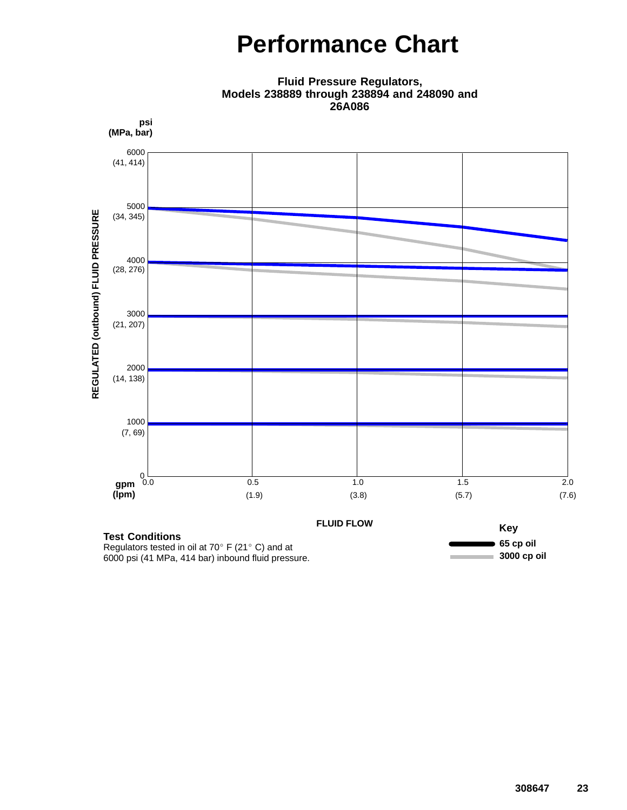## **Performance Chart**



**Fluid Pressure Regulators, Models 238889 through 238894 and 248090 and 26A086**

Regulators tested in oil at 70 $\degree$  F (21 $\degree$  C) and at 6000 psi (41 MPa, 414 bar) inbound fluid pressure.

**3000 cp oil**

÷.

**Contract**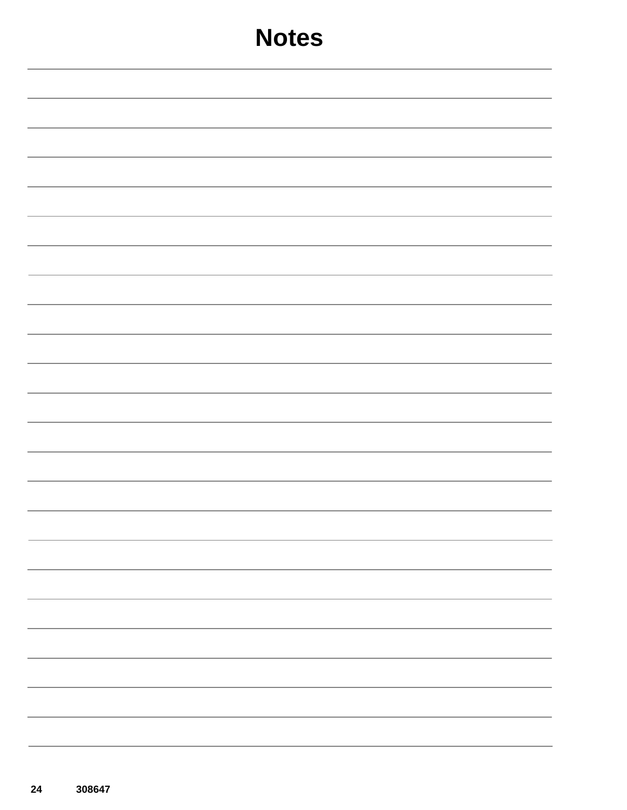| <b>Notes</b>             |
|--------------------------|
|                          |
|                          |
|                          |
|                          |
|                          |
|                          |
|                          |
|                          |
|                          |
|                          |
|                          |
|                          |
|                          |
|                          |
| $\overline{\phantom{a}}$ |
|                          |
|                          |
|                          |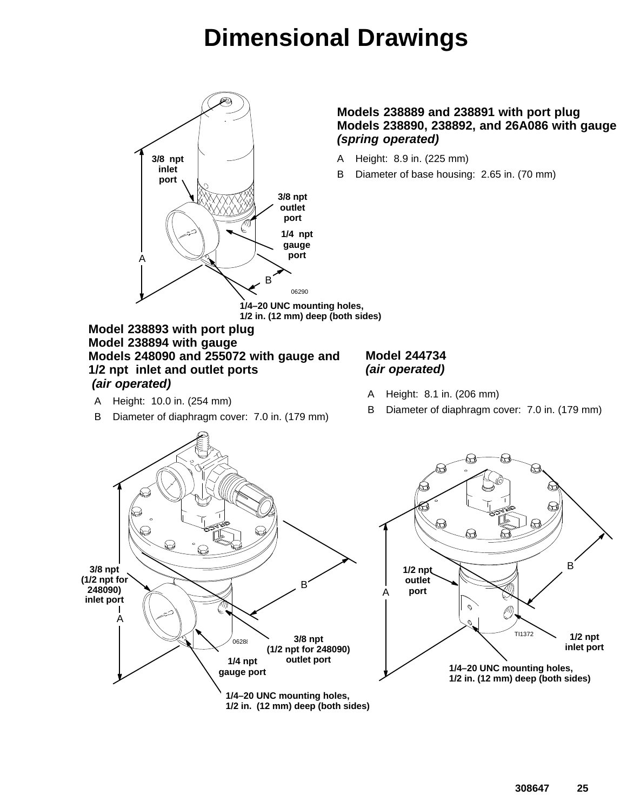# **Dimensional Drawings**



#### **Models 238889 and 238891 with port plug Models 238890, 238892, and 26A086 with gauge** *(spring operated)*

- A Height: 8.9 in. (225 mm)
- B Diameter of base housing: 2.65 in. (70 mm)

**1/4–20 UNC mounting holes, 1/2 in. (12 mm) deep (both sides)**

#### **Model 238893 with port plug Model 238894 with gauge Models 248090 and 255072 with gauge and 1/2 npt inlet and outlet ports** *(air operated)*

- A Height: 10.0 in. (254 mm)
- B Diameter of diaphragm cover: 7.0 in. (179 mm)

#### **Model 244734** *(air operated)*

- A Height: 8.1 in. (206 mm)
- B Diameter of diaphragm cover: 7.0 in. (179 mm)